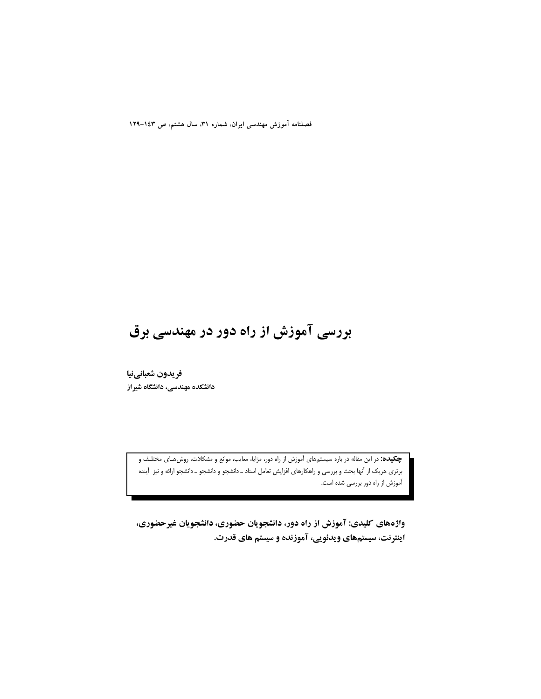فصلنامه آموزش مهندسی ایران. شماره ۳۱، سال هشتم، ص ۱٤۳–۱۲۹

# بررسی آموزش از راه دور در مهندسی برق

فريدون شعبانينيا دانشکده مهندسی، دانشگاه شیراز

> **چکیده:** در این مقاله در باره سیستمهای آموزش از راه دور، مزایا، معایب، موانع و مشکلات، روش هـای مختلـف و برتری هریک از آنها بحث و بررسی و راهکارهای افزایش تعامل استاد ـ دانشجو و دانشجو ـ دانشجو ارائه و نیز آینده آموزش از راه دور بررسی شده است.

> واژههای کلیدی: آموزش از راه دور، دانشجویان حضوری، دانشجویان غیرحضوری، اینترنت، سیستمهای ویدئویی، آموزنده و سیستم های قدرت.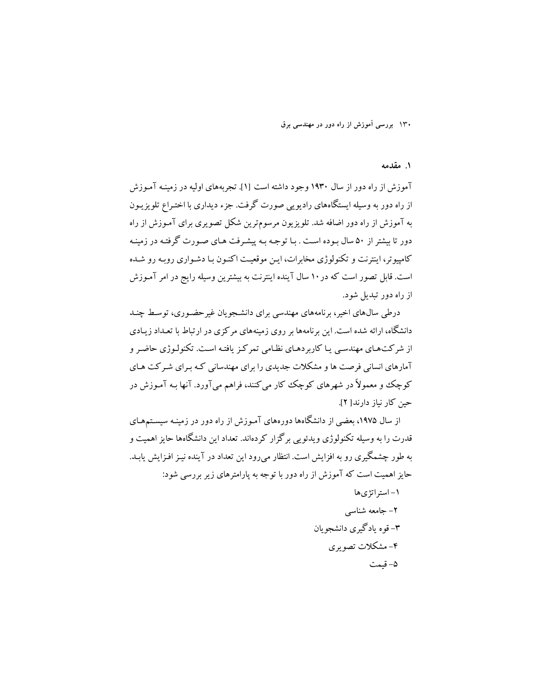#### ١. مقدمه

آموزش از راه دور از سال ۱۹۳۰ وجود داشته است [۱]. تجربههای اولیه در زمینـه آمـوزش از راه دور به وسیله ایستگاههای رادیویی صورت گرفت. جزء دیداری با اختیراع تلویزییون به آموزش از راه دور اضافه شد. تلویزیون مرسومترین شکل تصویری برای آمـوزش از راه دور تا بیشتر از ۵۰ سال بـوده اسـت . بـا توجـه بـه پیشـرفت هـای صـورت گرفتـه در زمینـه کامپیو تر، اینترنت و تکنولوژی مخابرات، این موقعیت اکنون با دشواری روپه رو شده است. قابل تصور است که در ۱۰ سال آینده اینترنت به بیشترین وسیله رایج در امر آمـوزش از راه دور تبدیل شود.

درطی سال های اخیر، برنامه های مهندسی برای دانشجو یان غیر حضوری، توسط چنـد دانشگاه، ارائه شده است. این برنامهها بر روی زمینههای مرکزی در ارتباط با تعـداد زیـادی از شرکتهای مهندسی یا کاربردهای نظامی تمرکز یافته است. تکنولوژی حاضر و آمارهای انسانی فرصت ها و مشکلات جدیدی را برای مهندسانی کـه بـرای شـرکت هـای کوچک و معمولاً در شهرهای کوچک کار می کنند، فراهم میآورد. آنها بـه آمـوزش در حين كار نباز دارند[ ٢].

از سال ۱۹۷۵، بعضی از دانشگاهها دورههای آمـوزش از راه دور در زمینـه سیسـتـمهـای قدرت را به وسیله تکنولوژی ویدئویی برگزار کردهاند. تعداد این دانشگاهها حایز اهمیت و به طور چشمگیری رو به افزایش است. انتظار می رود این تعداد در آینده نیـز افـزایش یابـد. حایز اهمیت است که آموزش از راه دور با توجه به یارامترهای زیر بررسی شود:

> ۱ – استر اتژی ها ٢- جامعه شناسي ۳- قوه يادگيري دانشجو يان ۴– مشکلات تصویری ۵- قیمت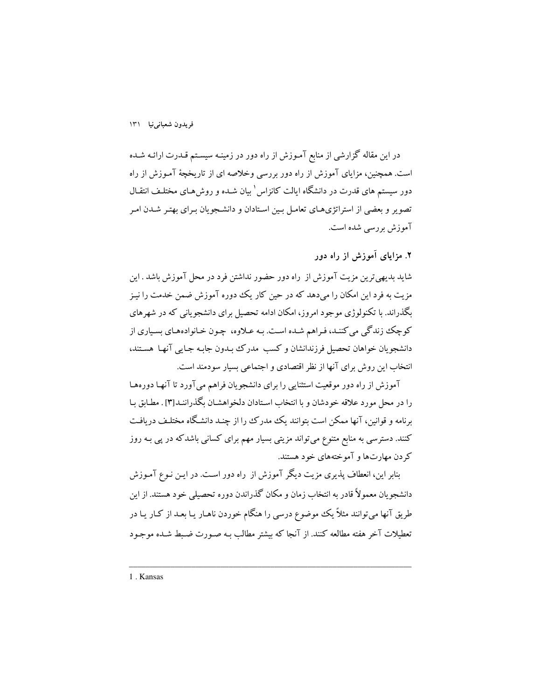در این مقاله گزارشی از منابع آمـوزش از راه دور در زمینـه سیسـتم قـدرت ارائـه شـده است. همچنین، مزایای آموزش از راه دور بررسی وخلاصه ای از تاریخچهٔ آمـوزش از راه دور سیستم های قدرت در دانشگاه ایالت کانزاس ٰ بیان شـده و روش۵مـای مختلـف انتقـال تصویر و بعضی از استراتژیهای تعامل بین استادان و دانشجویان بـرای بهتـر شـدن امـر آموزش بررسی شده است.

۲. مزایای آموزش از راه دور

شاید بدیهی ترین مزیت آموزش از راه دور حضور نداشتن فرد در محل آموزش باشد . این مزیت به فرد این امکان را میدهد که در حین کار یک دوره آموزش ضمن خدمت را نیـز بگذراند. با تکنولوژی موجود امروز، امکان ادامه تحصیل برای دانشجویانی که در شهرهای کوچک زندگی می کننـد، فـراهم شـده اسـت. بـه عـلاوه، چـون خـانوادههـاي بسـياري از دانشجويان خواهان تحصيل فرزندانشان وكسب مدرك بـدون جابـه جـايبي آنهـا هسـتند، انتخاب این روش برای آنها از نظر اقتصادی و اجتماعی بسیار سودمند است.

آموزش از راه دور موقعیت استثنایی را برای دانشجویان فراهم می آورد تا آنها دورهها را در محل مورد علاقه خودشان و با انتخاب اسـتادان دلخواهشـان بگذراننـد[۳] . مطـابق بـا برنامه و قوانین، آنها ممکن است بتوانند یک مدرک را از چنـد دانشـگاه مختلـف دریافـت کنند. دسترسی به منابع متنوع میتواند مزیتی بسیار مهم برای کسانی باشدکه در یی بـه روز کردن مهارتها و آموختههای خود هستند.

بنابر این، انعطاف پذیری مزیت دیگر آموزش از راه دور است. در ایـن نـوع آمـوزش دانشجویان معمولاً قادر به انتخاب زمان و مکان گذراندن دوره تحصیلی خود هستند. از این طریق آنها میتوانند مثلاً یک موضوع درسی را هنگام خوردن ناهـار یـا بعـد از کـار یـا در تعطىلات آخر هفته مطالعه كنند. از آنجا كه بيشتر مطالب بـه صـورت ضـبط شـده موجـود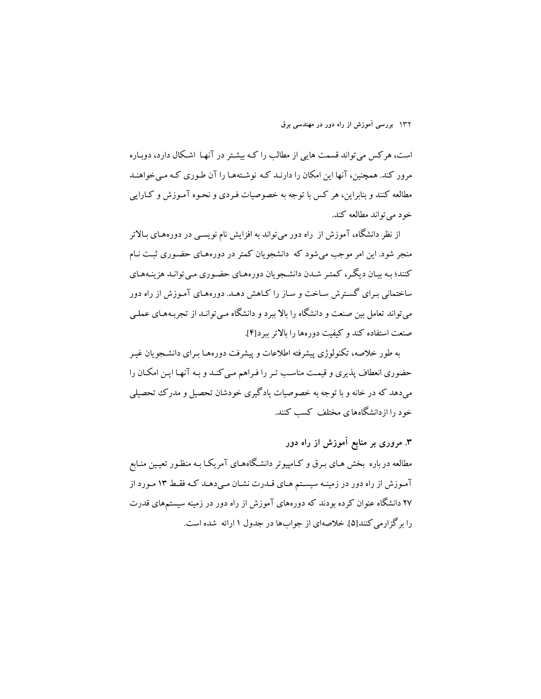است، هرکس می تواند قسمت هایی از مطالب را کـه بیشـتر در آنهـا اشـکال دارد، دوبـاره مرور کند. همچنین، آنها این امکان را دارنـد کـه نوشـتههـا را آن طـوری کـه مـی خواهنـد مطالعه کنند و بنابراین، هر کس با توجه به خصوصیات فـردی و نحـوه آمـوزش و کـارایی خود مي تواند مطالعه كند.

از نظر دانشگاه، آموزش از راه دور می تواند به افزایش نام نویســی در دورههـای بـالاتر منجر شود. این امر موجب می شود که دانشجویان کمتر در دورههای حضوری ثبت نـام کنند؛ بـه بيـان ديگـر، کمتـر شـدن دانشـجويان دورههـاي حضـوري مـيتوانـد هزينـههـاي ساختمانی بـرای گسـترش سـاخت و سـاز را كـاهش دهـد. دورههـای آمـوزش از راه دور میتواند تعامل بین صنعت و دانشگاه را بالا ببرد و دانشگاه مـی توانـد از تجربـههـای عملـی صنعت استفاده کند و کیفیت دورهها را بالاتر بیرد[۴].

به طور خلاصه، تکنولوژی پیشرفته اطلاعات و پیشرفت دورههـا بـرای دانشــجویان غیـر حضوری انعطاف پذیری و قیمت مناسب تـر را فـراهم مـی کنـد و بـه آنهـا ایـن امکـان را می،دهد که در خانه و با توجه به خصوصیات یادگیری خودشان تحصیل و مدرک تحصیلی خود را از دانشگاههای مختلف کسب کنند.

۳. مروری بر منابع آموزش از راه دور مطالعه در باره بخش هـای بـرق و کـامپیوتر دانشـگاههـای آمریکـا بـه منظـور تعیـین منـابع آموزش از راه دور در زمینـه سیسـتم هـای قـدرت نشـان مـی دهـد کـه فقـط ۱۳ مـورد از ۲۷ دانشگاه عنوان کرده بودند که دورههای آموزش از راه دور در زمینه سیستمهای قدرت را برگزارمی کنند[۵]. خلاصهای از جوابها در جدول ۱ ارائه شده است.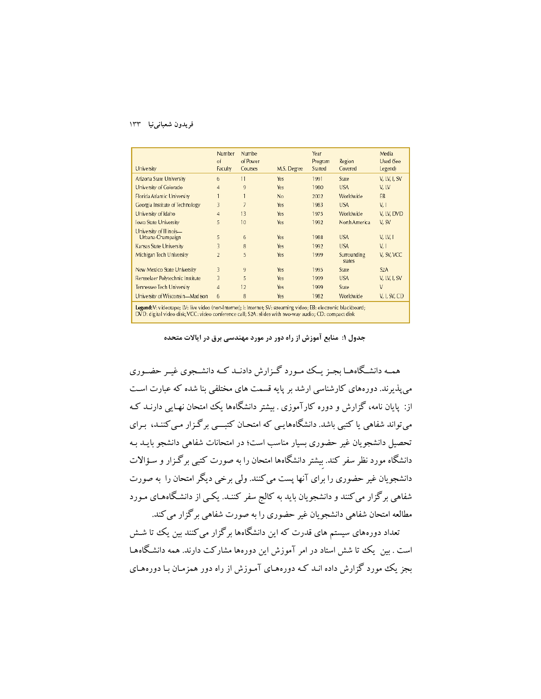| University                                                                                                                                                                                                                 | Number<br>of<br>Faculty | Numbe<br>of Power<br>Courses | M.S. Degree | Year<br>Program<br>Started | Region<br>Covered     | Media<br>Used (See<br>Legend) |
|----------------------------------------------------------------------------------------------------------------------------------------------------------------------------------------------------------------------------|-------------------------|------------------------------|-------------|----------------------------|-----------------------|-------------------------------|
| Arizona State University                                                                                                                                                                                                   | 6                       | 11                           | Yes         | 1991                       | State                 | V, LV, I, SV                  |
| University of Colorado                                                                                                                                                                                                     | $\overline{4}$          | 9                            | Yes         | 1980                       | <b>USA</b>            | V. LV                         |
| Florida Atlantic University                                                                                                                                                                                                |                         |                              | No          | 2002                       | Worldwide             | EB                            |
| Georgia Institute of Technology                                                                                                                                                                                            | 3                       | $\overline{7}$               | Yes         | 1983                       | <b>USA</b>            | V, I                          |
| University of Idaho                                                                                                                                                                                                        | $\overline{4}$          | 13                           | Yes         | 1975                       | Worldwide             | V, LV, DVD                    |
| <b>Iowa State University</b>                                                                                                                                                                                               | 5                       | 10                           | Yes         | 1992                       | North America         | V. SV                         |
| University of Illinois-<br>Urbana-Champaign                                                                                                                                                                                | 5                       | 6                            | Yes         | 1988                       | <b>USA</b>            | V, LV, I                      |
| <b>Kansas State University</b>                                                                                                                                                                                             | 3                       | 8                            | Yes         | 1992                       | <b>USA</b>            | V, I                          |
| Michigan Tech University                                                                                                                                                                                                   | $\overline{2}$          | 5                            | Yes         | 1999                       | Surrounding<br>states | V. SV. VCC                    |
| <b>New Mexico State University</b>                                                                                                                                                                                         | 3                       | 9                            | Yes         | 1995                       | State                 | S <sub>2</sub> A              |
| Rensselaer Polytechnic Institute                                                                                                                                                                                           | 3                       | 5                            | Yes         | 1999                       | <b>USA</b>            | V. LV. I. SV                  |
| <b>Tennessee Tech University</b>                                                                                                                                                                                           | $\overline{4}$          | 12                           | Yes         | 1999                       | State                 | V                             |
| University of Wisconsin-Madison                                                                                                                                                                                            | 6                       | 8                            | Yes         | 1982                       | Worldwide             | V, I, SV, CD                  |
| Legend: V: videotape; LV: live video (non-Internet); I: Internet; SV: streaming video; EB: electronic blackboard;<br>DVD; digital video disk; VCC; video conference call; S2A; slides with two-way audio; CD; compact disk |                         |                              |             |                            |                       |                               |

جدول ۱: منابع آموزش از راه دور در مورد مهندسی برق در ایالات متحده

همـه دانشـگاههـا بجـز یـک مـورد گـزارش دادنـد کـه دانشـجوی غـبر حضـوری می پذیرند. دورههای کارشناسی ارشد بر پایه قسمت های مختلفی بنا شده که عبارت است از: پایان نامه، گزارش و دوره کارآموزی . بیشتر دانشگاهها یک امتحان نهـایی دارنــد کـه می تواند شفاهی یا کتبی باشد. دانشگاههایی که امتحـان کتبـــی برگـزار مـی کننـد، بـرای تحصیل دانشجویان غیر حضوری بسیار مناسب است؛ در امتحانات شفاهی دانشجو بایـد بـه دانشگاه مورد نظر سفر کند. بیشتر دانشگاهها امتحان را به صورت کتبی برگـزار و سـؤالات دانشجویان غیر حضوری را برای آنها پست می کنند. ولی برخی دیگر امتحان را به صورت شفاهی برگزار می کنند و دانشجویان باید به کالج سفر کننـد. یکـی از دانشـگاههـای مـورد مطالعه امتحان شفاهي دانشجويان غير حضوري را به صورت شفاهي برگزار مي كند.

.<br>تعداد دورههای سیستم های قدرت که این دانشگاهها برگزار می کنند بین یک تا شــش است . بین یک تا شش استاد در امر آموزش این دورهها مشارکت دارند. همه دانشگاههـا بجز یک مورد گزارش داده انـد کـه دورههـای آمـوزش از راه دور همزمـان بـا دورههـای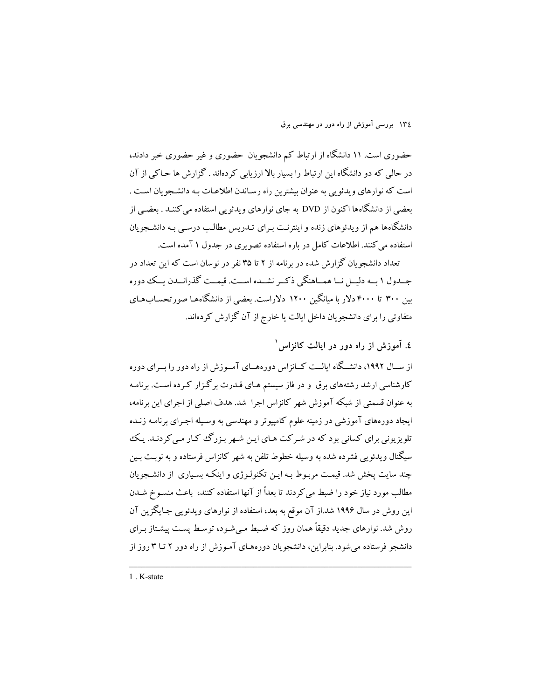حضوری است. ۱۱ دانشگاه از ارتباط کم دانشجویان حضوری و غیر حضوری خبر دادند، در حالی که دو دانشگاه این ارتباط را بسیار بالا ارزیابی کردهاند . گزارش ها حـاکی از آن است كه نوارهاي ويدئويي به عنوان بيشترين راه رسـاندن اطلاعـات بـه دانشـجويان اسـت . بعضی از دانشگاهها اکنون از DVD به جای نوارهای ویدئویی استفاده می کننـد . بعضـی از دانشگاهها هم از ویدئوهای زنده و اینترنت بـرای تـدریس مطالـب درسـی بـه دانشـجویان استفاده می کنند. اطلاعات کامل در باره استفاده تصویری در جدول ۱ آمده است.

تعداد دانشجه بان گزارش شده در برنامه از ۲ تا ۳۵ نفر در نوسان است که این تعداد در جـدول ١ بــه دليــل نــا همــاهنگي ذكــر نشــده اســت. قيمــت گذرانــدن يــك دوره بین ۳۰۰ تا ۴۰۰۰ دلار با میانگین ۱۲۰۰ دلاراست. بعضی از دانشگاهها صورتحسابهای متفاوتی را برای دانشجویان داخل ایالت یا خارج از آن گزارش کردهاند.

# ٤. آموزش از راه دور در ایالت کانزاس

از سـال ۱۹۹۲، دانشـگاه ايالــت كــانزاس دورههــاي آمــوزش از راه دور را بــراي دوره کارشناسی ارشد رشتههای برق ًو در فاز سیستم هـای قـدرت برگـزار کـرده اسـت. برنامـه به عنوان قسمتی از شبکه آموزش شهر کانزاس اجرا شد. هدف اصلی از اجرای این برنامه، ایجاد دورههای آموزشی در زمینه علوم کامپیوتر و مهندسی به وسـیله اجـرای برنامـه زنـده ۔<br>تلویزیونی برای کسانی بود که در شـرکت هـای ایـن شـهر بـزرگ<sup>ی</sup> کـار مـی کردنـد. یـک سیگنال ویدئو پی فشرده شده به وسیله خطوط تلفن به شهر کانزاس فرستاده و به نوبت بـین چند سایت یخش شد. قیمت مربوط بـه ایـن تکنولـوژی و اینکـه بسـیاری از دانشـجویان مطالب مورد نیاز خود را ضبط می کردند تا بعداً از آنها استفاده کنند، باعث منسـوخ شـدن این روش در سال ۱۹۹۶ شد.از آن موقع به بعد، استفاده از نوارهای ویدئویی جـایگزین آن روش شد. نوارهای جدید دقیقاً همان روز که ضبط مبی شود، توسط پست پیشتاز برای دانشجو فرستاده می شود. بنابراین، دانشجو یان دورههای آموزش از راه دور ۲ تـا ۳ روز از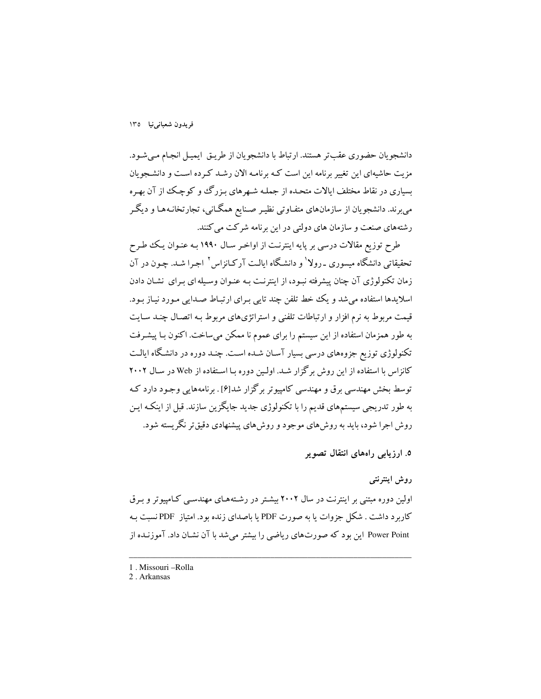دانشجويان حضوري عقبتر هستند. ارتباط با دانشجويان از طريـق ايميـل انجـام مـي شـود. مزیت حاشیهای این تغییر برنامه این است کـه برنامـه الان رشـد کـرده اسـت و دانشـجویان بسیاری در نقاط مختلف ایالات متحده از جملـه شـهرهای بـزرگـُ و کوچـک از آن بهـره می برند. دانشجویان از سازمانهای متفـاوتی نظیـر صـنایع همگـانی، تجارتخانـههـا و دیگـر رشتههای صنعت و سازمان های دولتی در این برنامه شرکت می کنند.

طرح توزیع مقالات درسی بر پایه اینترنت از اواخـر سـال ۱۹۹۰ بـه عنـوان یـک طـرح تحقیقاتی دانشگاه میسوری ـ رولا<sup>۱</sup> و دانشگاه ایالـت آرکـانزاس<sup>۲</sup> اجـرا شـد. چـون در آن زمان تکنولوژی آن چنان پیشرفته نبـود، از اینترنـت بـه عنـوان وسـیله ای بـرای نشـان دادن اسلايدها استفاده مي شد و يک خط تلفن چند تايي بـراي ارتبـاط صـدايي مـورد نيـاز بـود. قیمت مربوط به نرم افزار و ارتباطات تلفنی و استراتژیهای مربوط بـه اتصـال چنـد سـایت به طور همزمان استفاده از این سیستم را برای عموم نا ممکن می ساخت. اکنون بـا پیشـرفت تکنولوژی توزیع جزوههای درسی بسیار آسان شـده اسـت. چنـد دوره در دانشـگاه ايالـت کانزاس با استفاده از این روش برگزار شـد. اولـین دوره بـا اسـتفاده از Web در سـال ۲۰۰۲ توسط بخش مهندسی برق و مهندسی کامپیوتر برگزار شد[۶] . برنامههایی وجـود دارد کـه به طور تدریجی سیستمهای قدیم را با تکنولوژی جدید جایگزین سازند. قبل از اینکـه ایـن روش اجرا شود، باید به روش های موجود و روش های پیشنهادی دقیقتر نگریسته شود.

۵. ارزیابی راههای انتقال تصویر

#### روش اینترنتی

اولین دوره مبتنی بر اینترنت در سال ۲۰۰۲ بیشتر در رشتههای مهندسبی کـامپیوتر و بـرق کاربرد داشت . شکل جزوات یا به صورت PDF یا باصدای زنده بود. امتیاز PDFنسبت بـه Power Point این بود که صورتهای ریاضی را بیشتر می شد با آن نشـان داد. آموزنـده از

<sup>1.</sup> Missouri - Rolla

<sup>2.</sup> Arkansas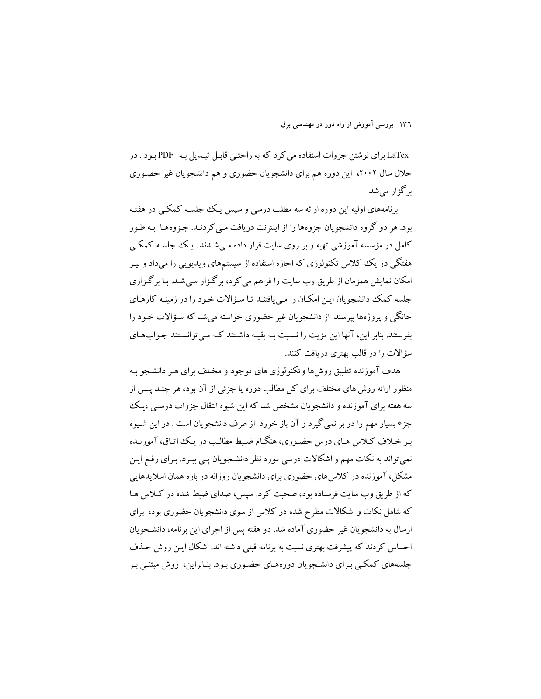LaTex برای نوشتن جزوات استفاده می کرد که به راحتبی قابل تبـدیل بـه PDF بـود . در خلال سال ۲۰۰۲، این دوره هم برای دانشجویان حضوری و هم دانشجویان غیر حضـوری ىہ گزار مى شد.

برنامههای اولیه این دوره ارائه سه مطلب درسی و سپس یک جلسـه کمکـی در هفتـه بود. هر دو گروه دانشجویان جزوهها را از اینترنت دریافت مبی کردنـد. جـزوههـا بـه طـور کامل در مؤسسه آموزشی تھیه و بر روی سایت قرار داده مے شــدند . یـک جلســه کمکــی هفتگی در یک ککلاس تکنولوژی که اجازه استفاده از سیستمهای ویدیویی را میداد و نیـز امکان نمایش همزمان از طریق وب سایت را فراهم می کرد، برگزار مـیشـد. بـا برگـزاری جلسه کمک دانشجو بان این امکان را مبی بافتنـد تـا سـؤالات خـود را در زمینـه کارهـای خانگی و یروژهها پیرسند. از دانشجو بان غیر حضوری خواسته می شد که سـؤالات خـود را بفرستند. بنابر این، آنها این مزیت را نسبت بـه بقیـه داشـتند کـه مـی توانسـتند جـواب۱مـای سؤالات را در قالب بهتری در بافت کنند.

هدف آموزنده تطبق روش ها وتکنولوژی های موجود و مختلف برای هـر دانشـجو بـه منظور ارائه روش های مختلف برای کل مطالب دوره یا جزئی از آن بود، هر چنـد پـس از سه هفته برای آموزنده و دانشجویان مشخص شد که این شیوه انتقال جزوات درسبی ،یک جزء بسيار مهم را در بر نمي گيرد و آن باز خورد از طرف دانشجويان است . در اين شـيوه بـر خـلاف كـلاس هـاي درس حضـوري، هنگـام ضـبط مطالـب در يـك اتـاق، آموزنـده نمي تواند به نكات مهم و اشكالات درسي مورد نظر دانشجويان پـي ببـرد. بـراي رفـع ايـن مشکل، آموزنده در کلاس های حضوری برای دانشجویان روزانه در باره همان اسلایدهایی که از طریق وب سایت فرستاده بود، صحبت کرد. سیس، صدای ضبط شده در کلاس هـا که شامل نکات و اشکالات مطرح شده در کلاس از سوی دانشجو بان حضوری بود، برای ارسال به دانشجو یان غیر حضوری آماده شد. دو هفته پس از اجرای این برنامه، دانشـجویان احساس کردند که پیشرفت بهتری نسبت به برنامه قبلی داشته اند. اشکال ایـن روش حـذف جلسههای کمکبی بـرای دانشـجویان دورههـای حضـوری بـود. بنـابراین، روش مبتنـی بـر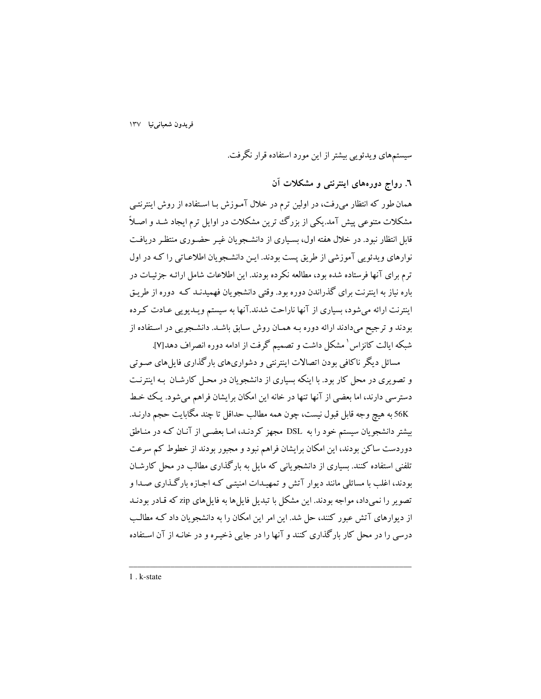سیستمهای ویدئویی بیشتر از این مورد استفاده قرار نگرفت.

٦. رواج دورههای اینترنتی و مشکلات آن

همان طور که انتظار میرفت، در اولین ترم در خلال آمـوزش بـا اسـتفاده از روش اینترنتـی مشکلات متنوعی پیش آمد.یکی از بزرگ ترین مشکلات در اوایل ترم ایجاد شـد و اصـلاً .<br>قابل انتظار نبود. در خلال هفته اول، بسـياري از دانشـجويان غيـر حضـوري منتظـر دريافـت نوارهای ویدئویی آموزشی از طریق پست بودند. ایـن دانشجویان اطلاعـاتی را کـه در اول ترم برای آنها فرستاده شده بود، مطالعه نکرده بودند. این اطلاعات شامل ارائـه جزئیـات در باره نیاز به اینترنت برای گذراندن دوره بود. وقتی دانشجویان فهمیدنـد کـه دوره از طریـق اینترنت ارائه میشود، بسیاری از آنها ناراحت شدند.آنها به سیستم ویـدیویی عـادت کـرده بودند و ترجیح میدادند ارائه دوره بـه همـان روش سـابق باشـد. دانشـجویی در اسـتفاده از شبکه ایالت کانزاس ْ مشکل داشت و تصمیم گرفت از ادامه دوره انصراف دهد[۷].

مسائل دیگر ناکافی بودن اتصالات اینترنتی و دشواریهای بارگذاری فایلهای صـوتی و تصویری در محل کار بود. با اینکه بسیاری از دانشجویان در محـل کارشـان بـه اینترنـت دسترسی دارند، اما بعضی از آنها تنها در خانه این امکان برایشان فراهم میشود. یک خط 56K به هيچ وجه قابل قبول نيست، چون همه مطالب حداقل تا چند مگابايت حجم دارنـد. بیشتر دانشجویان سیستم خود را به DSL مجهز کردنـد، امـا بعضـی از آنـان کـه در منـاطق دوردست ساکن بودند، این امکان برایشان فراهم نبود و مجبور بودند از خطوط کم سرعت تلفنی استفاده کنند. بسیاری از دانشجویانی که مایل به بارگذاری مطالب در محل کارشـان بودند، اغلب با مسائلی مانند دیوار آتش و تمهیـدات امنیتـی کـه اجـازه بارگـذاری صـدا و تصویر را نمی داد، مواجه بودند. این مشکل با تبدیل فایل ها به فایل های zip که قیادر بودنید از دیوارهای آتش عبور کنند، حل شد. این امر این امکان را به دانشجویان داد کـه مطالـب درسی را در محل کار مارگذاری کنند و آنها را در جایی ذخیره و در خانـه از آن اسـتفاده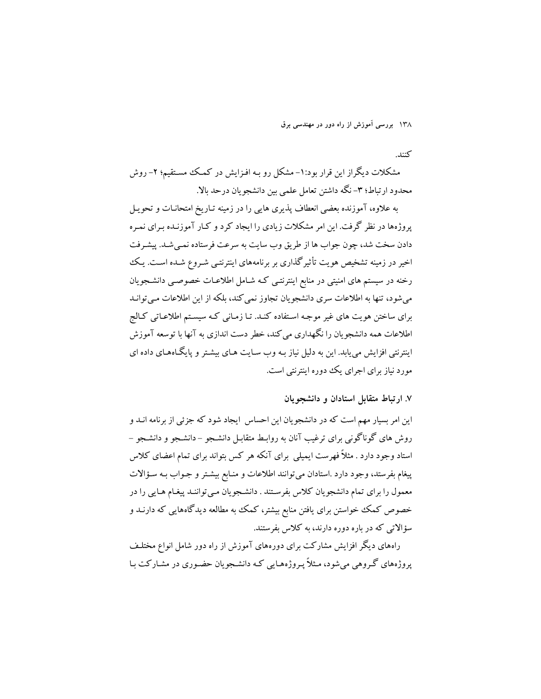كنند.

مشکلات دیگراز این قرار بود:۱- مشکل رو بـه افـزایش در کمـک مسـتقیم؛ ۲- روش محدود ارتباط؛ ٣- نگه داشتن تعامل علمي بين دانشجويان درحد بالا.

به علاوه، آموزنده بعضی انعطاف یذیری هایی را در زمینه تـاریخ امتحانـات و تحویـل پروژهها در نظر گرفت. این امر مشکلات زیادی را ایجاد کرد و کـار آموزنـده بـرای نمـره دادن سخت شد، چون جواب ها از طريق وب سايت به سرعت فرستاده نمبي شـد. پيشـرفت اخیر در زمینه تشخیص هویت تأثیر گذاری بر برنامههای اینترنتبی شـروع شـده اسـت. یـک رخنه در سیستم های امنیتی در منابع اینترنتـی کـه شـامل اطلاعـات خصوصـی دانشـجویان می شود، تنها به اطلاعات سری دانشجویان تجاوز نمی کند، بلکه از این اطلاعات می توانـد برای ساختن هویت های غیر موجـه اسـتفاده کنـد. تـا زمـانی کـه سیسـتم اطلاعـاتی کـالج اطلاعات همه دانشجویان را نگهداری می کند، خطر دست اندازی به آنها با توسعه آموزش اینترنتی افزایش می پابد. این به دلیل نیاز بـه وب سـایت هـای بیشـتر و پایگـاههـای داده ای مورد نیاز برای اجرای یک دوره اینترنتی است.

#### ۷. ارتباط متقابل استادان و دانشجو بان

این امر بسیار مهم است که در دانشجویان این احساس ایجاد شود که جزئی از برنامه انــد و روش های گوناگونی برای ترغیب آنان به روابط متقابـل دانشـجو –دانشـجو و دانشـجو – استاد وجود دارد . مثلاً فهرست ایمیلی برای آنکه هر کس بتواند برای تمام اعضای کلاس پیغام بفرستد، وجود دارد .استادان میتوانند اطلاعات و منـابع بیشـتر و جـواب بـه سـؤالات معمول را برای تمام دانشجویان کلاس بفرستند . دانشجویان مـیتواننـد پیغـام هـایی را در خصوص کمک خواستن برای یافتن منابع بیشتر، کمک به مطالعه دیدگاههایی که دارنـد و سؤالاتی که در باره دوره دارند، به کلاس بفرستند.

راههای دیگر افزایش مشارکت برای دورههای آموزش از راه دور شامل انواع مختلف یروژههای گـروهی می شود، مـثلاً پـروژههـایی کـه دانشـجویان حضـوری در مشـارکت بـا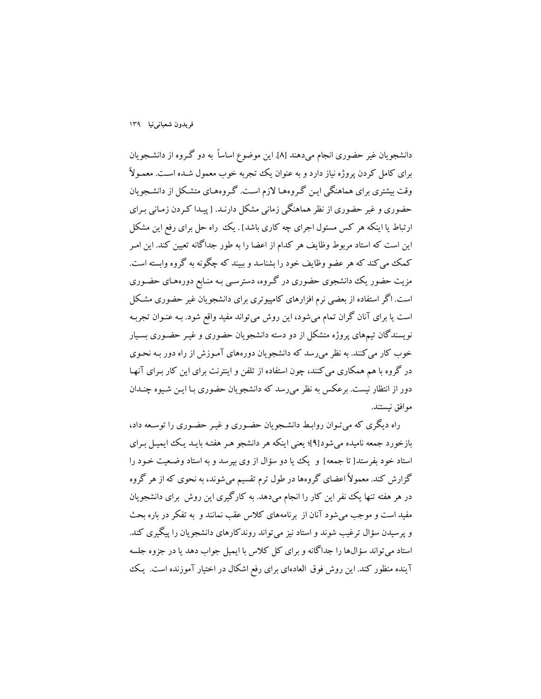دانشجويان غير حضوري انجام ميﺩﻫﻨﺪ [٨]. اين موضوع اساساً به دو گـروه از دانشـجويان برای کامل کردن پروژه نیاز دارد و به عنوان یک تجربه خوب معمول شـده اسـت. معمـولاً وقت بیشتری برای هماهنگی ایـن گـروههـا لازم اسـت. گـروههـای متشـکل از دانشـجویان حضوری و غیر حضوری از نظر هماهنگی زمانی مشکل دارنـد. [ پیـدا کـردن زمـانی بـرای ارتباط یا اینکه هر کس مسئول اجرای چه کاری باشد] . یک راه حل برای رفع این مشکل این است که استاد مربوط وظایف هر کدام از اعضا را به طور جداگانه تعیین کند. این امـر کمک می کند که هر عضو وظایف خود را بشناسد و ببیند که چگونه به گروه وابسته است. مزیت حضور یک دانشجوی حضوری در گروه، دسترسـی بـه منـابع دورههـای حضـوری است. اگر استفاده از بعضی نرم افزارهای کامپیوتری برای دانشجویان غیر حضوری مشکل است یا برای آنان گران تمام میشود، این روش میتواند مفید واقع شود. بـه عنـوان تجربـه نویسندگان تیمهای پروژه متشکل از دو دسته دانشجویان حضوری و غیـر حضـوری بسـیار خوب کار می کنند. به نظر می رسد که دانشجو یان دورههای آمـوزش از راه دور بـه نحـوی در گروه با هم همکاری می کنند، چون استفاده از تلفن و اینترنت برای این کار بـرای آنهـا دور از انتظار نیست. برعکس به نظر می رسد که دانشجویان حضوری بـا ایـن شـیوه چنـدان موافق نيستند.

راه دیگری که می تـوان روابـط دانشـجویان حضـوری و غیـر حضـوری را توسـعه داد، بازخورد جمعه نامیده می شود[۹]؛ یعنی اینکه هر دانشجو هـر هفتـه بایـد یـک ایمیـل بـرای استاد خود بفرستد[ تا جمعه] و یک یا دو سؤال از وی بپرسد و به استاد وضعیت خـود را گزارش کند. معمولاً اعضای گروهها در طول ترم تقسیم میشوند، به نحوی که از هر گروه در هر هفته تنها یک نفر این کار را انجام میدهد. به کارگیری این روش برای دانشجویان مفید است و موجب می شود آنان از برنامههای کلاس عقب نمانند و به تفکر در باره بحث و پرسیدن سؤال ترغیب شوند و استاد نیز می تواند روندکارهای دانشجویان را پیگیری کند. استاد می تواند سؤال&ا را جداگانه و برای کل کلاس با ایمیل جواب دهد یا در جزوه جلسه آینده منظور کند. این روش فوق العادهای برای رفع اشکال در اختیار آموزنده است. یک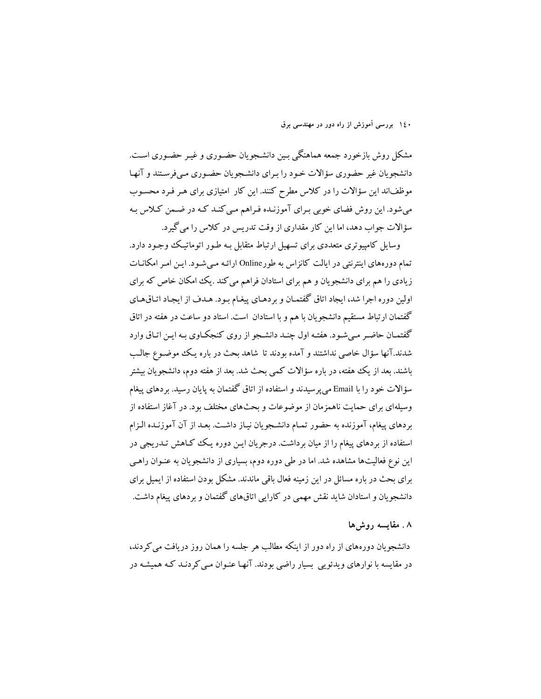مشکل روش بازخورد جمعه هماهنگی بـین دانشـجویان حضـوری و غیـر حضـوری اسـت. دانشجویان غیر حضوری سؤالات خـود را بـرای دانشـجویان حضـوری مـیفرسـتند و آنهـا موظفاند این سؤالات را در کلاس مطرح کنند. این کار امتیازی برای هـر فـرد محسـوب می شود. این روش فضای خوبی بـرای آموزنـده فـراهم مـی کنـد کـه در ضـمن کـلاس بـه سؤالات جواب دهد، اما این کار مقداری از وقت تدریس در کلاس را می گیرد.

وسایل کامپیوتری متعددی برای تسهیل ارتباط متقابل بـه طـور اتوماتیـک وجـود دارد. تمام دورههای اینترنتی در ایالت کانزاس به طورOnline ارائـه مـی شـود. ایـن امـر امکانـات زیادی را هم برای دانشجویان و هم برای استادان فراهم می کند .یک امکان خاص که برای اولین دوره اجرا شد، ایجاد اتاق گفتمـان و بردهـای پیغـام بـود. هـدف از ایجـاد اتـاق&ـای گفتمان ارتباط مستقیم دانشجویان با هم و با استادان است. استاد دو ساعت در هفته در اتاق گفتمـان حاضـر مـي شـود. هفتـه اول چنـد دانشـجو از روي كنجكـاوي بـه ايـن اتـاق وارد شدند.آنها سؤال خاصی نداشتند و آمده بودند تا شاهد بحث در باره یک موضوع جالب باشند. بعد از یک هفته، در باره سؤالات کمی بحث شد. بعد از هفته دوم، دانشجو یان بیشتر سؤالات خود را با Email می پر سیدند و استفاده از اتاق گفتمان به پایان رسید. بر دهای پیغام وسیلهای برای حمایت ناهمزمان از موضوعات و بحثهای مختلف بود. در آغاز استفاده از بردهای پیغام، آموزنده به حضور تمـام دانشـجویان نیـاز داشـت. بعـد از آن آموزنـده الـزام استفاده از بردهای پیغام را از میان برداشت. درجریان ایـن دوره یـک کـاهش تـدریجی در این نوع فعالیتها مشاهده شد. اما در طی دوره دوم، بسیاری از دانشجویان به عنـوان راهـی برای بحث در باره مسائل در این زمینه فعال باقی ماندند. مشکل بودن استفاده از ایمیل برای دانشجویان و استادان شاید نقش مهمی در کارایی اتاقهای گفتمان و بردهای پیغام داشت.

#### ۸. مقايسه روش۵ا

دانشجو یان دورههای از راه دور از اینکه مطالب هر جلسه را همان روز دریافت می کردند، در مقایسه با نوارهای ویدئویی بسیار راضی بودند. آنها عنـوان مـی کردنـد کـه همیشـه در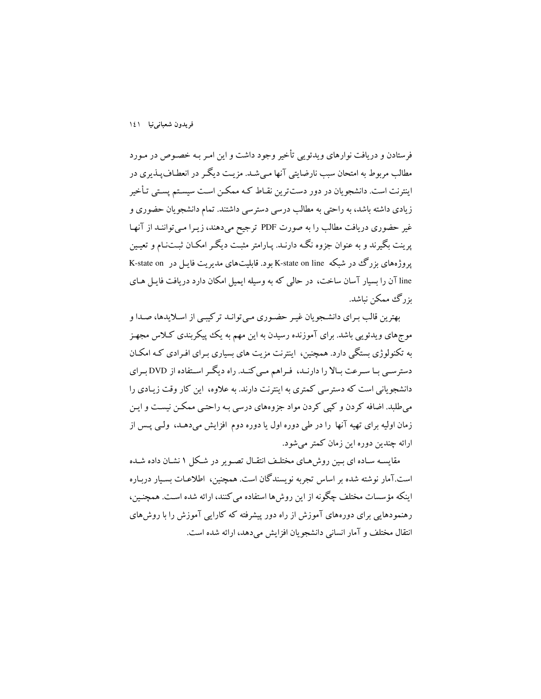فرستادن و دریافت نوارهای ویدئو پی تأخیر وجود داشت و این امـر بـه خصـوص در مـورد مطالب مربوط به امتحان سبب نارضایتی آنها مـیشـد. مزیـت دیگـر در انعطـافپـذیری در اینترنت است. دانشجویان در دور دستترین نقـاط کـه ممکـن اسـت سیسـتم یسـتی تـأخیر زیادی داشته باشد، به راحتی به مطالب درسی دسترسی داشتند. تمام دانشجویان حضوری و غیر حضوری دریافت مطالب را به صورت PDF ترجیح میدهند، زیـرا مـیتواننـد از آنهـا یر بنت بگم ند و به عنوان جزوه نگـه دارنـد. پـارامتر مثبـت دیگـر امکـان ثبـتنـام و تعیـین پروژههای یز رگ در شبکه K-state on line بود. قابلتهای مدیریت فایل در K-state on line آن را بسیار آسان ساخت، در حالی که به وسیله ایمیل امکان دارد دریافت فایـل هـای ىزرگ ممكن نىاشد.

بهترين قالب بـراي دانشـجويان غيـر حضـوري مـي توانـد تركيبـي از اسـلايدها، صـدا و موجهای ویدئویی باشد. برای آموزنده رسیدن به این مهم به یک پیکربندی کـلاس مجهـز به تکنولوژی بستگی دارد. همچنین، اینترنت مزیت های بسیاری بـرای افـرادی کـه امکـان دسترسبی بـا سـرعت بـالا را دارنـد، فـراهم مـی کنـد. راه دیگـر اسـتفاده از DVD بـرای دانشجویانی است که دسترسی کمتری به اینترنت دارند. به علاوه، این کار وقت زیبادی را می طلبد. اضافه کردن و کیی کردن مواد جزوههای درسی بـه راحتـی ممکـن نیسـت و ایـن زمان اولیه برای تهیه آنها را در طی دوره اول یا دوره دوم افزایش میدهـد، ولـی پـس از ارائه چندین دوره این زمان کمتر می شود.

مقایسـه سـاده ای بـین روشهـای مختلـف انتقـال تصـویر در شـکل ۱ نشـان داده شـده است.آمار نوشته شده بر اساس تجربه نویسندگان است. همچنین، اطلاعـات بسـیار دربـاره اینکه مؤسسات مختلف چگونه از این روشها استفاده می کنند، ارائه شده است. همچنین، رهنمودهایی برای دورههای آموزش از راه دور پیشرفته که کارایی آموزش را با روش های انتقال مختلف و آمار انسانی دانشجویان افزایش میدهد، ارائه شده است.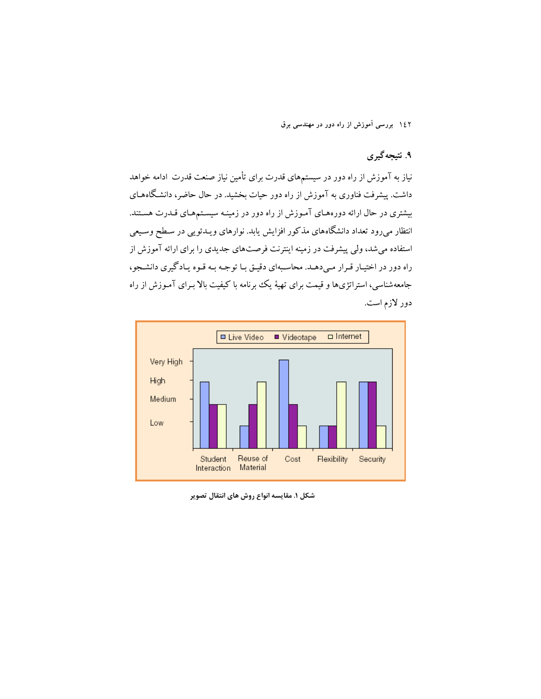# ۹. نتیجهگیری

نیاز به آموزش از راه دور در سیستمهای قدرت برای تأمین نیاز صنعت قدرت ادامه خواهد داشت. پیشرفت فناوری به آموزش از راه دور حیات بخشید. در حال حاضر، دانشگاههـای بیشتری در حال ارائه دورههای آموزش از راه دور در زمینـه سیسـتمهـای قـدرت هسـتند. انتظار میرود تعداد دانشگاههای مذکور افزایش یابد. نوارهای ویـدئویی در سـطح وسـیعی استفاده می شد، ولی پیشرفت در زمینه اینترنت فرصتهای جدیدی را برای ارائه آموزش از راه دور در اختیـار قـرار مـىدهـد. محاسـبهاى دقيـق بـا توجـه بـه قـوه يـادگيرى دانشـجو، جامعهشناسی، استراتژیها و قیمت برای تهیهٔ یک برنامه با کیفیت بالا بـرای آمـوزش از راه دور لازم است.



شکل ۱. مقایسه انواع روش های انتقال تصویر